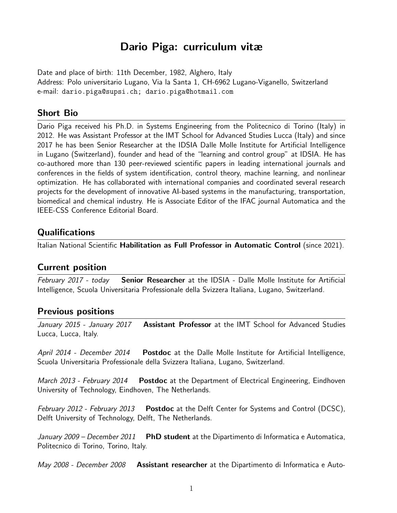# Dario Piga: curriculum vitæ

Date and place of birth: 11th December, 1982, Alghero, Italy Address: Polo universitario Lugano, Via la Santa 1, CH-6962 Lugano-Viganello, Switzerland e-mail: dario.piga@supsi.ch; dario.piga@hotmail.com

## Short Bio

Dario Piga received his Ph.D. in Systems Engineering from the Politecnico di Torino (Italy) in 2012. He was Assistant Professor at the IMT School for Advanced Studies Lucca (Italy) and since 2017 he has been Senior Researcher at the IDSIA Dalle Molle Institute for Artificial Intelligence in Lugano (Switzerland), founder and head of the "learning and control group" at IDSIA. He has co-authored more than 130 peer-reviewed scientific papers in leading international journals and conferences in the fields of system identification, control theory, machine learning, and nonlinear optimization. He has collaborated with international companies and coordinated several research projects for the development of innovative AI-based systems in the manufacturing, transportation, biomedical and chemical industry. He is Associate Editor of the IFAC journal Automatica and the IEEE-CSS Conference Editorial Board.

## **Qualifications**

Italian National Scientific Habilitation as Full Professor in Automatic Control (since 2021).

### Current position

February 2017 - today **Senior Researcher** at the IDSIA - Dalle Molle Institute for Artificial Intelligence, Scuola Universitaria Professionale della Svizzera Italiana, Lugano, Switzerland.

### Previous positions

January 2015 - January 2017 Assistant Professor at the IMT School for Advanced Studies Lucca, Lucca, Italy.

April 2014 - December 2014 Postdoc at the Dalle Molle Institute for Artificial Intelligence, Scuola Universitaria Professionale della Svizzera Italiana, Lugano, Switzerland.

*March 2013 - February 2014* Postdoc at the Department of Electrical Engineering, Eindhoven University of Technology, Eindhoven, The Netherlands.

February 2012 - February 2013 Postdoc at the Delft Center for Systems and Control (DCSC), Delft University of Technology, Delft, The Netherlands.

January  $2009$  – December  $2011$  PhD student at the Dipartimento di Informatica e Automatica, Politecnico di Torino, Torino, Italy.

May 2008 - December 2008 Assistant researcher at the Dipartimento di Informatica e Auto-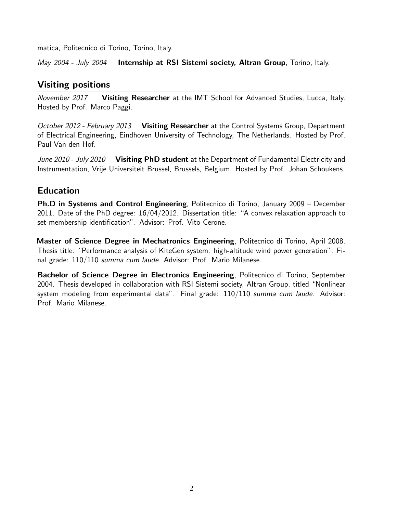matica, Politecnico di Torino, Torino, Italy.

May 2004 - July 2004 Internship at RSI Sistemi society, Altran Group, Torino, Italy.

## Visiting positions

November 2017 Visiting Researcher at the IMT School for Advanced Studies, Lucca, Italy. Hosted by Prof. Marco Paggi.

October 2012 - February 2013 Visiting Researcher at the Control Systems Group, Department of Electrical Engineering, Eindhoven University of Technology, The Netherlands. Hosted by Prof. Paul Van den Hof.

June 2010 - July 2010 Visiting PhD student at the Department of Fundamental Electricity and Instrumentation, Vrije Universiteit Brussel, Brussels, Belgium. Hosted by Prof. Johan Schoukens.

## Education

Ph.D in Systems and Control Engineering, Politecnico di Torino, January 2009 – December 2011. Date of the PhD degree: 16/04/2012. Dissertation title: "A convex relaxation approach to set-membership identification". Advisor: Prof. Vito Cerone.

Master of Science Degree in Mechatronics Engineering, Politecnico di Torino, April 2008. Thesis title: "Performance analysis of KiteGen system: high-altitude wind power generation". Final grade: 110/110 summa cum laude. Advisor: Prof. Mario Milanese.

Bachelor of Science Degree in Electronics Engineering, Politecnico di Torino, September 2004. Thesis developed in collaboration with RSI Sistemi society, Altran Group, titled "Nonlinear system modeling from experimental data". Final grade: 110/110 summa cum laude. Advisor: Prof. Mario Milanese.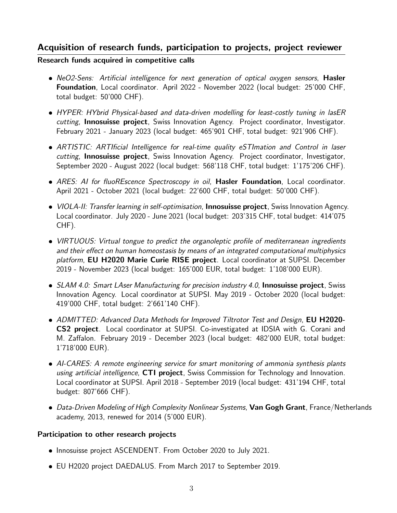## Acquisition of research funds, participation to projects, project reviewer

#### Research funds acquired in competitive calls

- NeO2-Sens: Artificial intelligence for next generation of optical oxygen sensors, Hasler Foundation, Local coordinator. April 2022 - November 2022 (local budget: 25'000 CHF, total budget: 50'000 CHF).
- HYPER: HYbrid Physical-based and data-driven modelling for least-costly tuning in lasER cutting, **Innosuisse project**, Swiss Innovation Agency. Project coordinator, Investigator. February 2021 - January 2023 (local budget: 465'901 CHF, total budget: 921'906 CHF).
- ARTISTIC: ARTIficial Intelligence for real-time quality eSTImation and Control in laser cutting, Innosuisse project, Swiss Innovation Agency. Project coordinator, Investigator, September 2020 - August 2022 (local budget: 568'118 CHF, total budget: 1'175'206 CHF).
- ARES: AI for fluoREscence Spectroscopy in oil, Hasler Foundation, Local coordinator. April 2021 - October 2021 (local budget: 22'600 CHF, total budget: 50'000 CHF).
- *VIOLA-II: Transfer learning in self-optimisation*, **Innosuisse project**, Swiss Innovation Agency. Local coordinator. July 2020 - June 2021 (local budget: 203'315 CHF, total budget: 414'075 CHF).
- VIRTUOUS: Virtual tongue to predict the organoleptic profile of mediterranean ingredients and their effect on human homeostasis by means of an integrated computational multiphysics platform, EU H2020 Marie Curie RISE project. Local coordinator at SUPSI. December 2019 - November 2023 (local budget: 165'000 EUR, total budget: 1'108'000 EUR).
- SLAM 4.0: Smart LAser Manufacturing for precision industry 4.0, Innosuisse project, Swiss Innovation Agency. Local coordinator at SUPSI. May 2019 - October 2020 (local budget: 419'000 CHF, total budget: 2'661'140 CHF).
- ADMITTED: Advanced Data Methods for Improved Tiltrotor Test and Design, EU H2020-CS2 project. Local coordinator at SUPSI. Co-investigated at IDSIA with G. Corani and M. Zaffalon. February 2019 - December 2023 (local budget: 482'000 EUR, total budget: 1'718'000 EUR).
- AI-CARES: A remote engineering service for smart monitoring of ammonia synthesis plants using artificial intelligence, CTI project, Swiss Commission for Technology and Innovation. Local coordinator at SUPSI. April 2018 - September 2019 (local budget: 431'194 CHF, total budget: 807'666 CHF).
- Data-Driven Modeling of High Complexity Nonlinear Systems, Van Gogh Grant, France/Netherlands academy, 2013, renewed for 2014 (5'000 EUR).

#### Participation to other research projects

- $\bullet$  Innosuisse project ASCENDENT. From October 2020 to July 2021.
- EU H2020 project DAEDALUS. From March 2017 to September 2019.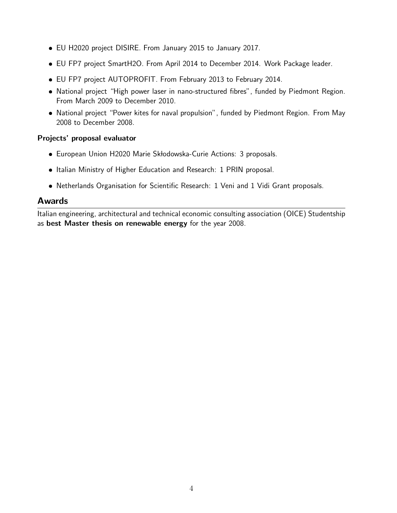- EU H2020 project DISIRE. From January 2015 to January 2017.
- EU FP7 project SmartH2O. From April 2014 to December 2014. Work Package leader.
- EU FP7 project AUTOPROFIT. From February 2013 to February 2014.
- National project "High power laser in nano-structured fibres", funded by Piedmont Region. From March 2009 to December 2010.
- National project "Power kites for naval propulsion", funded by Piedmont Region. From May 2008 to December 2008.

#### Projects' proposal evaluator

- **European Union H2020 Marie Skłodowska-Curie Actions: 3 proposals.**
- Italian Ministry of Higher Education and Research: 1 PRIN proposal.
- Netherlands Organisation for Scientific Research: 1 Veni and 1 Vidi Grant proposals.

### Awards

Italian engineering, architectural and technical economic consulting association (OICE) Studentship as best Master thesis on renewable energy for the year 2008.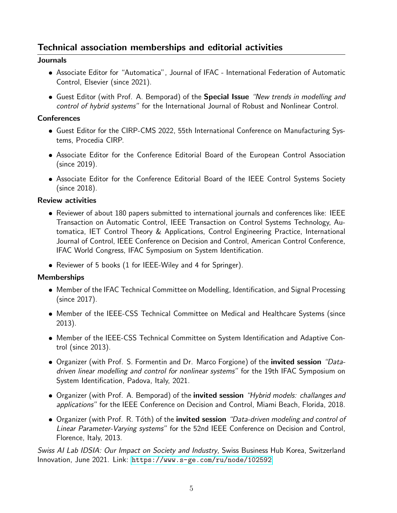## Technical association memberships and editorial activities

#### Journals

- Associate Editor for "Automatica", Journal of IFAC International Federation of Automatic Control, Elsevier (since 2021).
- **Guest Editor (with Prof. A. Bemporad) of the Special Issue** "New trends in modelling and control of hybrid systems" for the International Journal of Robust and Nonlinear Control.

#### **Conferences**

- Guest Editor for the CIRP-CMS 2022, 55th International Conference on Manufacturing Systems, Procedia CIRP.
- Associate Editor for the Conference Editorial Board of the European Control Association (since 2019).
- Associate Editor for the Conference Editorial Board of the IEEE Control Systems Society (since 2018).

### Review activities

- Reviewer of about 180 papers submitted to international journals and conferences like: IEEE Transaction on Automatic Control, IEEE Transaction on Control Systems Technology, Automatica, IET Control Theory & Applications, Control Engineering Practice, International Journal of Control, IEEE Conference on Decision and Control, American Control Conference, IFAC World Congress, IFAC Symposium on System Identification.
- Reviewer of 5 books (1 for IEEE-Wiley and 4 for Springer).

### Memberships

- Member of the IFAC Technical Committee on Modelling, Identification, and Signal Processing (since 2017).
- Member of the IEEE-CSS Technical Committee on Medical and Healthcare Systems (since 2013).
- Member of the IEEE-CSS Technical Committee on System Identification and Adaptive Control (since 2013).
- Organizer (with Prof. S. Formentin and Dr. Marco Forgione) of the **invited session** "Datadriven linear modelling and control for nonlinear systems" for the 19th IFAC Symposium on System Identification, Padova, Italy, 2021.
- Organizer (with Prof. A. Bemporad) of the *invited session "Hybrid models: challanges and* applications" for the IEEE Conference on Decision and Control, Miami Beach, Florida, 2018.
- Organizer (with Prof. R. Tóth) of the invited session "Data-driven modeling and control of Linear Parameter-Varying systems" for the 52nd IEEE Conference on Decision and Control, Florence, Italy, 2013.

Swiss AI Lab IDSIA: Our Impact on Society and Industry, Swiss Business Hub Korea, Switzerland Innovation, June 2021. Link: <https://www.s-ge.com/ru/node/102592>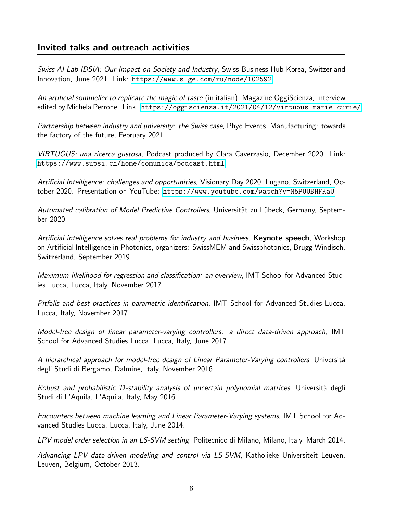## Invited talks and outreach activities

Swiss AI Lab IDSIA: Our Impact on Society and Industry, Swiss Business Hub Korea, Switzerland Innovation, June 2021. Link: <https://www.s-ge.com/ru/node/102592>

An artificial sommelier to replicate the magic of taste (in italian), Magazine OggiScienza, Interview edited by Michela Perrone. Link: <https://oggiscienza.it/2021/04/12/virtuous-marie-curie/>

Partnership between industry and university: the Swiss case, Phyd Events, Manufacturing: towards the factory of the future, February 2021.

VIRTUOUS: una ricerca gustosa, Podcast produced by Clara Caverzasio, December 2020. Link: <https://www.supsi.ch/home/comunica/podcast.html>

Artificial Intelligence: challenges and opportunities, Visionary Day 2020, Lugano, Switzerland, October 2020. Presentation on YouTube: <https://www.youtube.com/watch?v=M5PUUBHFKaU>

Automated calibration of Model Predictive Controllers, Universität zu Lübeck, Germany, September 2020.

Artificial intelligence solves real problems for industry and business, **Keynote speech**, Workshop on Artificial Intelligence in Photonics, organizers: SwissMEM and Swissphotonics, Brugg Windisch, Switzerland, September 2019.

Maximum-likelihood for regression and classification: an overview, IMT School for Advanced Studies Lucca, Lucca, Italy, November 2017.

Pitfalls and best practices in parametric identification, IMT School for Advanced Studies Lucca, Lucca, Italy, November 2017.

Model-free design of linear parameter-varying controllers: a direct data-driven approach, IMT School for Advanced Studies Lucca, Lucca, Italy, June 2017.

A hierarchical approach for model-free design of Linear Parameter-Varying controllers, Università degli Studi di Bergamo, Dalmine, Italy, November 2016.

Robust and probabilistic  $D$ -stability analysis of uncertain polynomial matrices, Università degli Studi di L'Aquila, L'Aquila, Italy, May 2016.

Encounters between machine learning and Linear Parameter-Varying systems, IMT School for Advanced Studies Lucca, Lucca, Italy, June 2014.

LPV model order selection in an LS-SVM setting, Politecnico di Milano, Milano, Italy, March 2014.

Advancing LPV data-driven modeling and control via LS-SVM, Katholieke Universiteit Leuven, Leuven, Belgium, October 2013.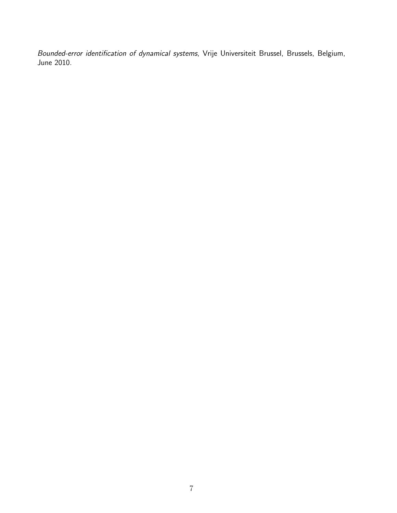Bounded-error identification of dynamical systems, Vrije Universiteit Brussel, Brussels, Belgium, June 2010.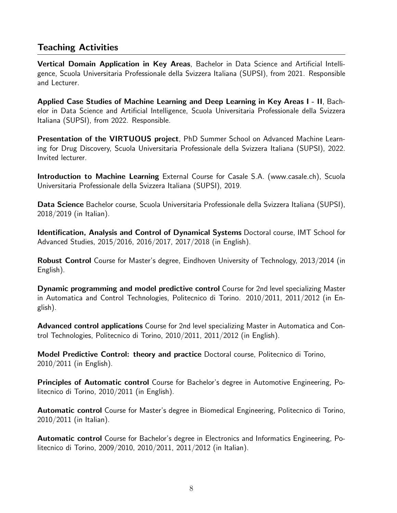## Teaching Activities

Vertical Domain Application in Key Areas, Bachelor in Data Science and Artificial Intelligence, Scuola Universitaria Professionale della Svizzera Italiana (SUPSI), from 2021. Responsible and Lecturer.

Applied Case Studies of Machine Learning and Deep Learning in Key Areas I - II, Bachelor in Data Science and Artificial Intelligence, Scuola Universitaria Professionale della Svizzera Italiana (SUPSI), from 2022. Responsible.

Presentation of the VIRTUOUS project, PhD Summer School on Advanced Machine Learning for Drug Discovery, Scuola Universitaria Professionale della Svizzera Italiana (SUPSI), 2022. Invited lecturer.

Introduction to Machine Learning External Course for Casale S.A. (www.casale.ch), Scuola Universitaria Professionale della Svizzera Italiana (SUPSI), 2019.

Data Science Bachelor course, Scuola Universitaria Professionale della Svizzera Italiana (SUPSI), 2018/2019 (in Italian).

Identification, Analysis and Control of Dynamical Systems Doctoral course, IMT School for Advanced Studies, 2015/2016, 2016/2017, 2017/2018 (in English).

Robust Control Course for Master's degree, Eindhoven University of Technology, 2013/2014 (in English).

Dynamic programming and model predictive control Course for 2nd level specializing Master in Automatica and Control Technologies, Politecnico di Torino. 2010/2011, 2011/2012 (in English).

Advanced control applications Course for 2nd level specializing Master in Automatica and Control Technologies, Politecnico di Torino, 2010/2011, 2011/2012 (in English).

Model Predictive Control: theory and practice Doctoral course, Politecnico di Torino, 2010/2011 (in English).

Principles of Automatic control Course for Bachelor's degree in Automotive Engineering, Politecnico di Torino, 2010/2011 (in English).

Automatic control Course for Master's degree in Biomedical Engineering, Politecnico di Torino, 2010/2011 (in Italian).

Automatic control Course for Bachelor's degree in Electronics and Informatics Engineering, Politecnico di Torino, 2009/2010, 2010/2011, 2011/2012 (in Italian).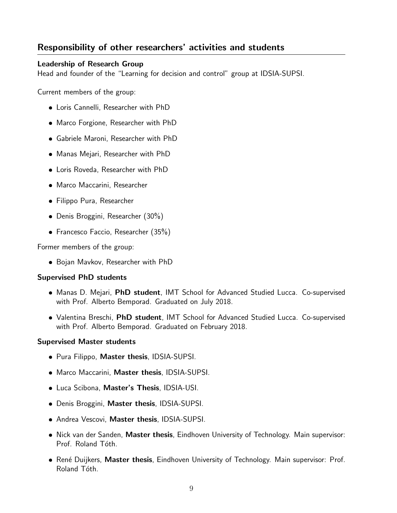## Responsibility of other researchers' activities and students

#### Leadership of Research Group

Head and founder of the "Learning for decision and control" group at IDSIA-SUPSI.

Current members of the group:

- Loris Cannelli, Researcher with PhD
- Marco Forgione, Researcher with PhD
- Gabriele Maroni, Researcher with PhD
- Manas Mejari, Researcher with PhD
- Loris Roveda, Researcher with PhD
- Marco Maccarini, Researcher
- Filippo Pura, Researcher
- Denis Broggini, Researcher (30%)
- Francesco Faccio, Researcher (35%)

Former members of the group:

Bojan Mavkov, Researcher with PhD

#### Supervised PhD students

- Manas D. Mejari, PhD student, IMT School for Advanced Studied Lucca. Co-supervised with Prof. Alberto Bemporad. Graduated on July 2018.
- Valentina Breschi, PhD student, IMT School for Advanced Studied Lucca. Co-supervised with Prof. Alberto Bemporad. Graduated on February 2018.

#### Supervised Master students

- Pura Filippo, Master thesis, IDSIA-SUPSI.
- Marco Maccarini, Master thesis, IDSIA-SUPSI.
- **Luca Scibona, Master's Thesis, IDSIA-USI.**
- Denis Broggini, Master thesis, IDSIA-SUPSI.
- **Andrea Vescovi, Master thesis, IDSIA-SUPSI.**
- **•** Nick van der Sanden, Master thesis, Eindhoven University of Technology. Main supervisor: Prof. Roland Tóth.
- René Duijkers, Master thesis, Eindhoven University of Technology. Main supervisor: Prof. Roland Tóth.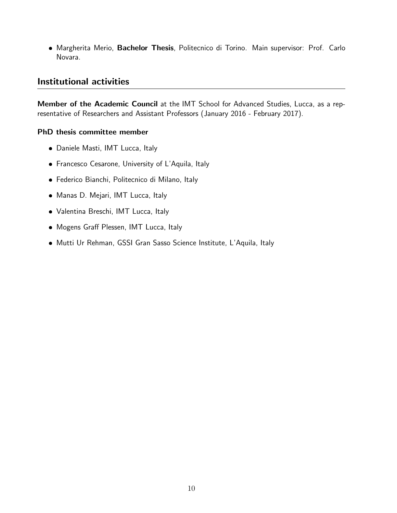**• Margherita Merio, Bachelor Thesis**, Politecnico di Torino. Main supervisor: Prof. Carlo Novara.

## Institutional activities

Member of the Academic Council at the IMT School for Advanced Studies, Lucca, as a representative of Researchers and Assistant Professors (January 2016 - February 2017).

#### PhD thesis committee member

- Daniele Masti, IMT Lucca, Italy
- Francesco Cesarone, University of L'Aquila, Italy
- Federico Bianchi, Politecnico di Milano, Italy
- Manas D. Mejari, IMT Lucca, Italy
- Valentina Breschi, IMT Lucca, Italy
- Mogens Graff Plessen, IMT Lucca, Italy
- Mutti Ur Rehman, GSSI Gran Sasso Science Institute, L'Aquila, Italy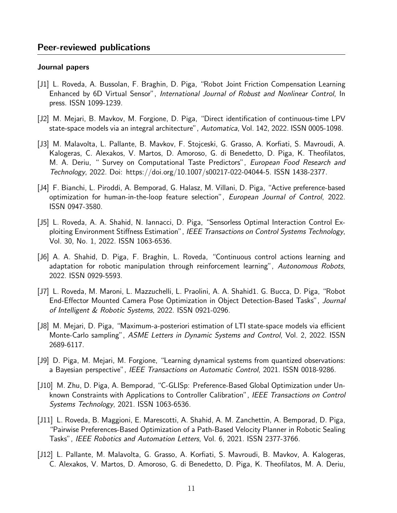#### Journal papers

- [J1] L. Roveda, A. Bussolan, F. Braghin, D. Piga, "Robot Joint Friction Compensation Learning Enhanced by 6D Virtual Sensor", International Journal of Robust and Nonlinear Control, In press. ISSN 1099-1239.
- [J2] M. Mejari, B. Mavkov, M. Forgione, D. Piga, "Direct identification of continuous-time LPV state-space models via an integral architecture", Automatica, Vol. 142, 2022. ISSN 0005-1098.
- [J3] M. Malavolta, L. Pallante, B. Mavkov, F. Stojceski, G. Grasso, A. Korfiati, S. Mavroudi, A. Kalogeras, C. Alexakos, V. Martos, D. Amoroso, G. di Benedetto, D. Piga, K. Theofilatos, M. A. Deriu, " Survey on Computational Taste Predictors", European Food Research and Technology, 2022. Doi: https://doi.org/10.1007/s00217-022-04044-5. ISSN 1438-2377.
- [J4] F. Bianchi, L. Piroddi, A. Bemporad, G. Halasz, M. Villani, D. Piga, "Active preference-based optimization for human-in-the-loop feature selection", European Journal of Control, 2022. ISSN 0947-3580.
- [J5] L. Roveda, A. A. Shahid, N. Iannacci, D. Piga, "Sensorless Optimal Interaction Control Exploiting Environment Stiffness Estimation", IEEE Transactions on Control Systems Technology, Vol. 30, No. 1, 2022. ISSN 1063-6536.
- [J6] A. A. Shahid, D. Piga, F. Braghin, L. Roveda, "Continuous control actions learning and adaptation for robotic manipulation through reinforcement learning", Autonomous Robots, 2022. ISSN 0929-5593.
- [J7] L. Roveda, M. Maroni, L. Mazzuchelli, L. Praolini, A. A. Shahid1. G. Bucca, D. Piga, "Robot End-Effector Mounted Camera Pose Optimization in Object Detection-Based Tasks", Journal of Intelligent & Robotic Systems, 2022. ISSN 0921-0296.
- [J8] M. Mejari, D. Piga, "Maximum-a-posteriori estimation of LTI state-space models via efficient Monte-Carlo sampling", ASME Letters in Dynamic Systems and Control, Vol. 2, 2022. ISSN 2689-6117.
- [J9] D. Piga, M. Mejari, M. Forgione, "Learning dynamical systems from quantized observations: a Bayesian perspective", IEEE Transactions on Automatic Control, 2021. ISSN 0018-9286.
- [J10] M. Zhu, D. Piga, A. Bemporad, "C-GLISp: Preference-Based Global Optimization under Unknown Constraints with Applications to Controller Calibration", IEEE Transactions on Control Systems Technology, 2021. ISSN 1063-6536.
- [J11] L. Roveda, B. Maggioni, E. Marescotti, A. Shahid, A. M. Zanchettin, A. Bemporad, D. Piga, "Pairwise Preferences-Based Optimization of a Path-Based Velocity Planner in Robotic Sealing Tasks", IEEE Robotics and Automation Letters, Vol. 6, 2021. ISSN 2377-3766.
- [J12] L. Pallante, M. Malavolta, G. Grasso, A. Korfiati, S. Mavroudi, B. Mavkov, A. Kalogeras, C. Alexakos, V. Martos, D. Amoroso, G. di Benedetto, D. Piga, K. Theofilatos, M. A. Deriu,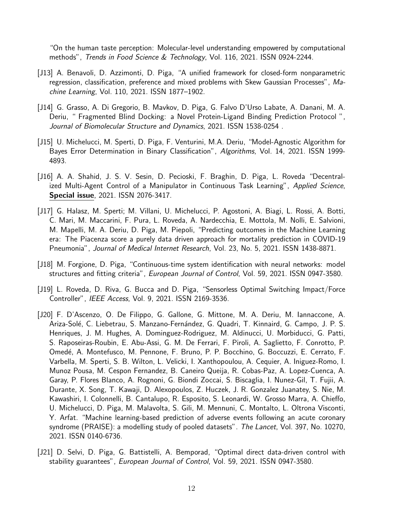"On the human taste perception: Molecular-level understanding empowered by computational methods", Trends in Food Science & Technology, Vol. 116, 2021. ISSN 0924-2244.

- [J13] A. Benavoli, D. Azzimonti, D. Piga, "A unified framework for closed-form nonparametric regression, classification, preference and mixed problems with Skew Gaussian Processes", Machine Learning, Vol. 110, 2021. ISSN 1877–1902.
- [J14] G. Grasso, A. Di Gregorio, B. Mavkov, D. Piga, G. Falvo D'Urso Labate, A. Danani, M. A. Deriu, " Fragmented Blind Docking: a Novel Protein-Ligand Binding Prediction Protocol ", Journal of Biomolecular Structure and Dynamics, 2021. ISSN 1538-0254 .
- [J15] U. Michelucci, M. Sperti, D. Piga, F. Venturini, M.A. Deriu, "Model-Agnostic Algorithm for Bayes Error Determination in Binary Classification", Algorithms, Vol. 14, 2021. ISSN 1999- 4893.
- [J16] A. A. Shahid, J. S. V. Sesin, D. Pecioski, F. Braghin, D. Piga, L. Roveda "Decentralized Multi-Agent Control of a Manipulator in Continuous Task Learning", Applied Science, Special issue, 2021. ISSN 2076-3417.
- [J17] G. Halasz, M. Sperti; M. Villani, U. Michelucci, P. Agostoni, A. Biagi, L. Rossi, A. Botti, C. Mari, M. Maccarini, F. Pura, L. Roveda, A. Nardecchia, E. Mottola, M. Nolli, E. Salvioni, M. Mapelli, M. A. Deriu, D. Piga, M. Piepoli, "Predicting outcomes in the Machine Learning era: The Piacenza score a purely data driven approach for mortality prediction in COVID-19 Pneumonia", Journal of Medical Internet Research, Vol. 23, No. 5, 2021. ISSN 1438-8871.
- [J18] M. Forgione, D. Piga, "Continuous-time system identification with neural networks: model structures and fitting criteria", European Journal of Control, Vol. 59, 2021. ISSN 0947-3580.
- [J19] L. Roveda, D. Riva, G. Bucca and D. Piga, "Sensorless Optimal Switching Impact/Force Controller", IEEE Access, Vol. 9, 2021. ISSN 2169-3536.
- [J20] F. D'Ascenzo, O. De Filippo, G. Gallone, G. Mittone, M. A. Deriu, M. Iannaccone, A. Ariza-Solé, C. Liebetrau, S. Manzano-Fernández, G. Quadri, T. Kinnaird, G. Campo, J. P. S. Henriques, J. M. Hughes, A. Dominguez-Rodriguez, M. Aldinucci, U. Morbiducci, G. Patti, S. Raposeiras-Roubin, E. Abu-Assi, G. M. De Ferrari, F. Piroli, A. Saglietto, F. Conrotto, P. Omedé, A. Montefusco, M. Pennone, F. Bruno, P. P. Bocchino, G. Boccuzzi, E. Cerrato, F. Varbella, M. Sperti, S. B. Wilton, L. Velicki, I. Xanthopoulou, A. Cequier, A. Iniguez-Romo, I. Munoz Pousa, M. Cespon Fernandez, B. Caneiro Queija, R. Cobas-Paz, A. Lopez-Cuenca, A. Garay, P. Flores Blanco, A. Rognoni, G. Biondi Zoccai, S. Biscaglia, I. Nunez-Gil, T. Fujii, A. Durante, X. Song, T. Kawaji, D. Alexopoulos, Z. Huczek, J. R. Gonzalez Juanatey, S. Nie, M. Kawashiri, I. Colonnelli, B. Cantalupo, R. Esposito, S. Leonardi, W. Grosso Marra, A. Chieffo, U. Michelucci, D. Piga, M. Malavolta, S. Gili, M. Mennuni, C. Montalto, L. Oltrona Visconti, Y. Arfat. "Machine learning-based prediction of adverse events following an acute coronary syndrome (PRAISE): a modelling study of pooled datasets". The Lancet, Vol. 397, No. 10270, 2021. ISSN 0140-6736.
- [J21] D. Selvi, D. Piga, G. Battistelli, A. Bemporad, "Optimal direct data-driven control with stability guarantees", European Journal of Control, Vol. 59, 2021. ISSN 0947-3580.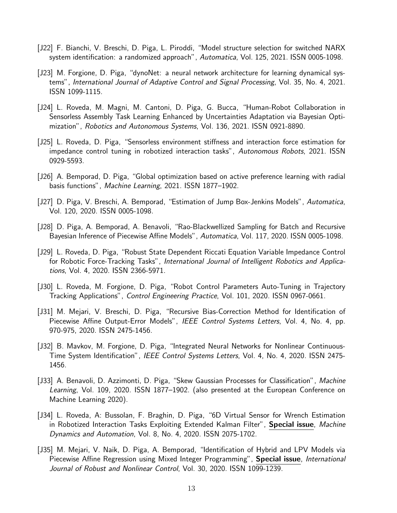- [J22] F. Bianchi, V. Breschi, D. Piga, L. Piroddi, "Model structure selection for switched NARX system identification: a randomized approach", Automatica, Vol. 125, 2021. ISSN 0005-1098.
- [J23] M. Forgione, D. Piga, "dynoNet: a neural network architecture for learning dynamical systems", International Journal of Adaptive Control and Signal Processing, Vol. 35, No. 4, 2021. ISSN 1099-1115.
- [J24] L. Roveda, M. Magni, M. Cantoni, D. Piga, G. Bucca, "Human-Robot Collaboration in Sensorless Assembly Task Learning Enhanced by Uncertainties Adaptation via Bayesian Optimization", Robotics and Autonomous Systems, Vol. 136, 2021. ISSN 0921-8890.
- [J25] L. Roveda, D. Piga, "Sensorless environment stiffness and interaction force estimation for impedance control tuning in robotized interaction tasks", Autonomous Robots, 2021. ISSN 0929-5593.
- [J26] A. Bemporad, D. Piga, "Global optimization based on active preference learning with radial basis functions", Machine Learning, 2021. ISSN 1877–1902.
- [J27] D. Piga, V. Breschi, A. Bemporad, "Estimation of Jump Box-Jenkins Models", Automatica, Vol. 120, 2020. ISSN 0005-1098.
- [J28] D. Piga, A. Bemporad, A. Benavoli, "Rao-Blackwellized Sampling for Batch and Recursive Bayesian Inference of Piecewise Affine Models", Automatica, Vol. 117, 2020. ISSN 0005-1098.
- [J29] L. Roveda, D. Piga, "Robust State Dependent Riccati Equation Variable Impedance Control for Robotic Force-Tracking Tasks", International Journal of Intelligent Robotics and Applications, Vol. 4, 2020. ISSN 2366-5971.
- [J30] L. Roveda, M. Forgione, D. Piga, "Robot Control Parameters Auto-Tuning in Trajectory Tracking Applications", Control Engineering Practice, Vol. 101, 2020. ISSN 0967-0661.
- [J31] M. Mejari, V. Breschi, D. Piga, "Recursive Bias-Correction Method for Identification of Piecewise Affine Output-Error Models", IEEE Control Systems Letters, Vol. 4, No. 4, pp. 970-975, 2020. ISSN 2475-1456.
- [J32] B. Mavkov, M. Forgione, D. Piga, "Integrated Neural Networks for Nonlinear Continuous-Time System Identification", IEEE Control Systems Letters, Vol. 4, No. 4, 2020. ISSN 2475- 1456.
- [J33] A. Benavoli, D. Azzimonti, D. Piga, "Skew Gaussian Processes for Classification", Machine Learning, Vol. 109, 2020. ISSN 1877-1902. (also presented at the European Conference on Machine Learning 2020).
- [J34] L. Roveda, A: Bussolan, F. Braghin, D. Piga, "6D Virtual Sensor for Wrench Estimation in Robotized Interaction Tasks Exploiting Extended Kalman Filter", Special issue, Machine Dynamics and Automation, Vol. 8, No. 4, 2020. ISSN 2075-1702.
- [J35] M. Mejari, V. Naik, D. Piga, A. Bemporad, "Identification of Hybrid and LPV Models via Piecewise Affine Regression using Mixed Integer Programming", **Special issue**, *International* Journal of Robust and Nonlinear Control, Vol. 30, 2020. ISSN 1099-1239.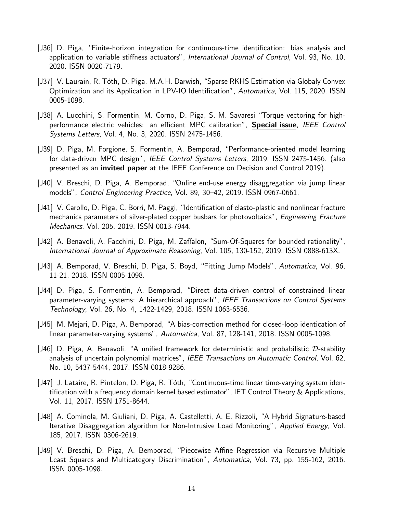- [J36] D. Piga, "Finite-horizon integration for continuous-time identification: bias analysis and application to variable stiffness actuators", International Journal of Control, Vol. 93, No. 10, 2020. ISSN 0020-7179.
- [J37] V. Laurain, R. Tóth, D. Piga, M.A.H. Darwish, "Sparse RKHS Estimation via Globaly Convex Optimization and its Application in LPV-IO Identification", Automatica, Vol. 115, 2020. ISSN 0005-1098.
- [J38] A. Lucchini, S. Formentin, M. Corno, D. Piga, S. M. Savaresi "Torque vectoring for highperformance electric vehicles: an efficient MPC calibration", Special issue, IEEE Control Systems Letters, Vol. 4, No. 3, 2020. ISSN 2475-1456.
- [J39] D. Piga, M. Forgione, S. Formentin, A. Bemporad, "Performance-oriented model learning for data-driven MPC design", IEEE Control Systems Letters, 2019. ISSN 2475-1456. (also presented as an invited paper at the IEEE Conference on Decision and Control 2019).
- [J40] V. Breschi, D. Piga, A. Bemporad, "Online end-use energy disaggregation via jump linear models", Control Engineering Practice, Vol. 89, 30–42, 2019. ISSN 0967-0661.
- [J41] V. Carollo, D. Piga, C. Borri, M. Paggi, "Identification of elasto-plastic and nonlinear fracture mechanics parameters of silver-plated copper busbars for photovoltaics", Engineering Fracture Mechanics, Vol. 205, 2019. ISSN 0013-7944.
- [J42] A. Benavoli, A. Facchini, D. Piga, M. Zaffalon, "Sum-Of-Squares for bounded rationality", International Journal of Approximate Reasoning, Vol. 105, 130-152, 2019. ISSN 0888-613X.
- [J43] A. Bemporad, V. Breschi, D. Piga, S. Boyd, "Fitting Jump Models", Automatica, Vol. 96, 11-21, 2018. ISSN 0005-1098.
- [J44] D. Piga, S. Formentin, A. Bemporad, "Direct data-driven control of constrained linear parameter-varying systems: A hierarchical approach", IEEE Transactions on Control Systems Technology, Vol. 26, No. 4, 1422-1429, 2018. ISSN 1063-6536.
- [J45] M. Mejari, D. Piga, A. Bemporad, "A bias-correction method for closed-loop identication of linear parameter-varying systems", Automatica, Vol. 87, 128-141, 2018. ISSN 0005-1098.
- [J46] D. Piga, A. Benavoli, "A unified framework for deterministic and probabilistic  $D$ -stability analysis of uncertain polynomial matrices", IEEE Transactions on Automatic Control, Vol. 62, No. 10, 5437-5444, 2017. ISSN 0018-9286.
- [J47] J. Lataire, R. Pintelon, D. Piga, R. Tóth, "Continuous-time linear time-varying system identification with a frequency domain kernel based estimator", IET Control Theory & Applications, Vol. 11, 2017. ISSN 1751-8644.
- [J48] A. Cominola, M. Giuliani, D. Piga, A. Castelletti, A. E. Rizzoli, "A Hybrid Signature-based Iterative Disaggregation algorithm for Non-Intrusive Load Monitoring", Applied Energy, Vol. 185, 2017. ISSN 0306-2619.
- [J49] V. Breschi, D. Piga, A. Bemporad, "Piecewise Affine Regression via Recursive Multiple Least Squares and Multicategory Discrimination", Automatica, Vol. 73, pp. 155-162, 2016. ISSN 0005-1098.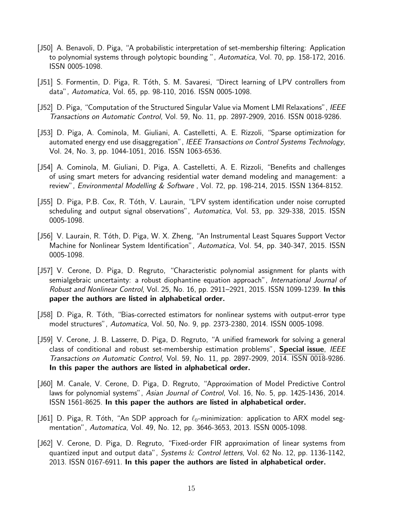- [J50] A. Benavoli, D. Piga, "A probabilistic interpretation of set-membership filtering: Application to polynomial systems through polytopic bounding ", Automatica, Vol. 70, pp. 158-172, 2016. ISSN 0005-1098.
- [J51] S. Formentin, D. Piga, R. Tóth, S. M. Savaresi, "Direct learning of LPV controllers from data", Automatica, Vol. 65, pp. 98-110, 2016. ISSN 0005-1098.
- [J52] D. Piga, "Computation of the Structured Singular Value via Moment LMI Relaxations", IEEE Transactions on Automatic Control, Vol. 59, No. 11, pp. 2897-2909, 2016. ISSN 0018-9286.
- [J53] D. Piga, A. Cominola, M. Giuliani, A. Castelletti, A. E. Rizzoli, "Sparse optimization for automated energy end use disaggregation", IEEE Transactions on Control Systems Technology, Vol. 24, No. 3, pp. 1044-1051, 2016. ISSN 1063-6536.
- [J54] A. Cominola, M. Giuliani, D. Piga, A. Castelletti, A. E. Rizzoli, "Benefits and challenges of using smart meters for advancing residential water demand modeling and management: a review", Environmental Modelling  $&$  Software, Vol. 72, pp. 198-214, 2015. ISSN 1364-8152.
- [J55] D. Piga, P.B. Cox, R. Tóth, V. Laurain, "LPV system identification under noise corrupted scheduling and output signal observations", Automatica, Vol. 53, pp. 329-338, 2015. ISSN 0005-1098.
- [J56] V. Laurain, R. Tóth, D. Piga, W. X. Zheng, "An Instrumental Least Squares Support Vector Machine for Nonlinear System Identification", Automatica, Vol. 54, pp. 340-347, 2015. ISSN 0005-1098.
- [J57] V. Cerone, D. Piga, D. Regruto, "Characteristic polynomial assignment for plants with semialgebraic uncertainty: a robust diophantine equation approach", International Journal of Robust and Nonlinear Control, Vol. 25, No. 16, pp. 2911–2921, 2015. ISSN 1099-1239. In this paper the authors are listed in alphabetical order.
- [J58] D. Piga, R. Tóth, "Bias-corrected estimators for nonlinear systems with output-error type model structures", Automatica, Vol. 50, No. 9, pp. 2373-2380, 2014. ISSN 0005-1098.
- [J59] V. Cerone, J. B. Lasserre, D. Piga, D. Regruto, "A unified framework for solving a general class of conditional and robust set-membership estimation problems", **Special issue**, IEEE Transactions on Automatic Control, Vol. 59, No. 11, pp. 2897-2909, 2014. ISSN 0018-9286. In this paper the authors are listed in alphabetical order.
- [J60] M. Canale, V. Cerone, D. Piga, D. Regruto, "Approximation of Model Predictive Control laws for polynomial systems", Asian Journal of Control, Vol. 16, No. 5, pp. 1425-1436, 2014. ISSN 1561-8625. In this paper the authors are listed in alphabetical order.
- [J61] D. Piga, R. Tóth, "An SDP approach for  $\ell_0$ -minimization: application to ARX model segmentation", Automatica, Vol. 49, No. 12, pp. 3646-3653, 2013. ISSN 0005-1098.
- [J62] V. Cerone, D. Piga, D. Regruto, "Fixed-order FIR approximation of linear systems from quantized input and output data", Systems  $&$  Control letters, Vol. 62 No. 12, pp. 1136-1142, 2013. ISSN 0167-6911. In this paper the authors are listed in alphabetical order.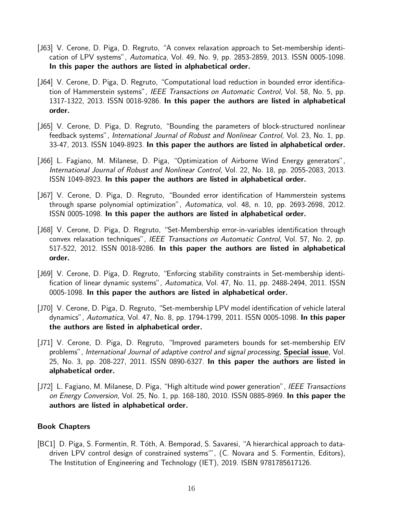- [J63] V. Cerone, D. Piga, D. Regruto, "A convex relaxation approach to Set-membership identication of LPV systems", Automatica, Vol. 49, No. 9, pp. 2853-2859, 2013. ISSN 0005-1098. In this paper the authors are listed in alphabetical order.
- [J64] V. Cerone, D. Piga, D. Regruto, "Computational load reduction in bounded error identification of Hammerstein systems", IEEE Transactions on Automatic Control, Vol. 58, No. 5, pp. 1317-1322, 2013. ISSN 0018-9286. In this paper the authors are listed in alphabetical order.
- [J65] V. Cerone, D. Piga, D. Regruto, "Bounding the parameters of block-structured nonlinear feedback systems", International Journal of Robust and Nonlinear Control, Vol. 23, No. 1, pp. 33-47, 2013. ISSN 1049-8923. In this paper the authors are listed in alphabetical order.
- [J66] L. Fagiano, M. Milanese, D. Piga, "Optimization of Airborne Wind Energy generators", International Journal of Robust and Nonlinear Control, Vol. 22, No. 18, pp. 2055-2083, 2013. ISSN 1049-8923. In this paper the authors are listed in alphabetical order.
- [J67] V. Cerone, D. Piga, D. Regruto, "Bounded error identification of Hammerstein systems through sparse polynomial optimization", Automatica, vol. 48, n. 10, pp. 2693-2698, 2012. ISSN 0005-1098. In this paper the authors are listed in alphabetical order.
- [J68] V. Cerone, D. Piga, D. Regruto, "Set-Membership error-in-variables identification through convex relaxation techniques", IEEE Transactions on Automatic Control, Vol. 57, No. 2, pp. 517-522, 2012. ISSN 0018-9286. In this paper the authors are listed in alphabetical order.
- [J69] V. Cerone, D. Piga, D. Regruto, "Enforcing stability constraints in Set-membership identification of linear dynamic systems", Automatica, Vol. 47, No. 11, pp. 2488-2494, 2011. ISSN 0005-1098. In this paper the authors are listed in alphabetical order.
- [J70] V. Cerone, D. Piga, D. Regruto, "Set-membership LPV model identification of vehicle lateral dynamics", Automatica, Vol. 47, No. 8, pp. 1794-1799, 2011. ISSN 0005-1098. In this paper the authors are listed in alphabetical order.
- [J71] V. Cerone, D. Piga, D. Regruto, "Improved parameters bounds for set-membership EIV problems", International Journal of adaptive control and signal processing, **Special issue**, Vol. 25, No. 3, pp. 208-227, 2011. ISSN 0890-6327. In this paper the authors are listed in alphabetical order.
- [J72] L. Fagiano, M. Milanese, D. Piga, "High altitude wind power generation", IEEE Transactions on Energy Conversion, Vol. 25, No. 1, pp. 168-180, 2010. ISSN 0885-8969. In this paper the authors are listed in alphabetical order.

#### Book Chapters

[BC1] D. Piga, S. Formentin, R. Tóth, A. Bemporad, S. Savaresi, "A hierarchical approach to datadriven LPV control design of constrained systems'", (C. Novara and S. Formentin, Editors), The Institution of Engineering and Technology (IET), 2019. ISBN 9781785617126.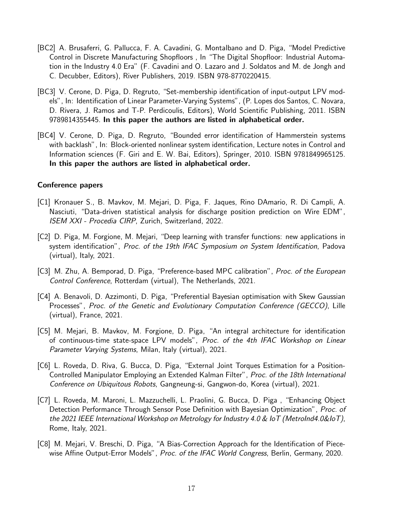- [BC2] A. Brusaferri, G. Pallucca, F. A. Cavadini, G. Montalbano and D. Piga, "Model Predictive Control in Discrete Manufacturing Shopfloors , In "The Digital Shopfloor: Industrial Automation in the Industry 4.0 Era" (F. Cavadini and O. Lazaro and J. Soldatos and M. de Jongh and C. Decubber, Editors), River Publishers, 2019. ISBN 978-8770220415.
- [BC3] V. Cerone, D. Piga, D. Regruto, "Set-membership identification of input-output LPV models", In: Identification of Linear Parameter-Varying Systems", (P. Lopes dos Santos, C. Novara, D. Rivera, J. Ramos and T-P. Perdicoulis, Editors), World Scientific Publishing, 2011. ISBN 9789814355445. In this paper the authors are listed in alphabetical order.
- [BC4] V. Cerone, D. Piga, D. Regruto, "Bounded error identification of Hammerstein systems with backlash", In: Block-oriented nonlinear system identification, Lecture notes in Control and Information sciences (F. Giri and E. W. Bai, Editors), Springer, 2010. ISBN 9781849965125. In this paper the authors are listed in alphabetical order.

#### Conference papers

- [C1] Kronauer S., B. Mavkov, M. Mejari, D. Piga, F. Jaques, Rino DAmario, R. Di Campli, A. Nasciuti, "Data-driven statistical analysis for discharge position prediction on Wire EDM", ISEM XXI - Procedia CIRP, Zurich, Switzerland, 2022.
- [C2] D. Piga, M. Forgione, M. Mejari, "Deep learning with transfer functions: new applications in system identification", Proc. of the 19th IFAC Symposium on System Identification, Padova (virtual), Italy, 2021.
- [C3] M. Zhu, A. Bemporad, D. Piga, "Preference-based MPC calibration", *Proc. of the European* Control Conference, Rotterdam (virtual), The Netherlands, 2021.
- [C4] A. Benavoli, D. Azzimonti, D. Piga, "Preferential Bayesian optimisation with Skew Gaussian Processes", Proc. of the Genetic and Evolutionary Computation Conference (GECCO), Lille (virtual), France, 2021.
- [C5] M. Mejari, B. Mavkov, M. Forgione, D. Piga, "An integral architecture for identification of continuous-time state-space LPV models", Proc. of the 4th IFAC Workshop on Linear Parameter Varying Systems, Milan, Italy (virtual), 2021.
- [C6] L. Roveda, D. Riva, G. Bucca, D. Piga, "External Joint Torques Estimation for a Position-Controlled Manipulator Employing an Extended Kalman Filter", Proc. of the 18th International Conference on Ubiquitous Robots, Gangneung-si, Gangwon-do, Korea (virtual), 2021.
- [C7] L. Roveda, M. Maroni, L. Mazzuchelli, L. Praolini, G. Bucca, D. Piga , "Enhancing Object Detection Performance Through Sensor Pose Definition with Bayesian Optimization", Proc. of the 2021 IEEE International Workshop on Metrology for Industry 4.0 & IoT (MetroInd4.0&IoT), Rome, Italy, 2021.
- [C8] M. Mejari, V. Breschi, D. Piga, "A Bias-Correction Approach for the Identification of Piecewise Affine Output-Error Models", Proc. of the IFAC World Congress, Berlin, Germany, 2020.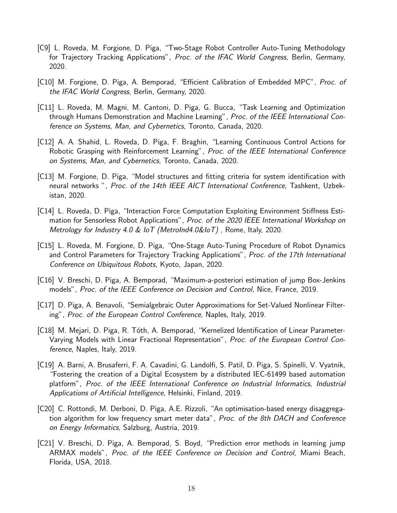- [C9] L. Roveda, M. Forgione, D. Piga, "Two-Stage Robot Controller Auto-Tuning Methodology for Trajectory Tracking Applications", Proc. of the IFAC World Congress, Berlin, Germany, 2020.
- [C10] M. Forgione, D. Piga, A. Bemporad, "Efficient Calibration of Embedded MPC", *Proc. of* the IFAC World Congress, Berlin, Germany, 2020.
- [C11] L. Roveda, M. Magni, M. Cantoni, D. Piga, G. Bucca, "Task Learning and Optimization through Humans Demonstration and Machine Learning", Proc. of the IEEE International Conference on Systems, Man, and Cybernetics, Toronto, Canada, 2020.
- [C12] A. A. Shahid, L. Roveda, D. Piga, F. Braghin, "Learning Continuous Control Actions for Robotic Grasping with Reinforcement Learning", *Proc. of the IEEE International Conference* on Systems, Man, and Cybernetics, Toronto, Canada, 2020.
- [C13] M. Forgione, D. Piga, "Model structures and fitting criteria for system identification with neural networks ", Proc. of the 14th IEEE AICT International Conference, Tashkent, Uzbekistan, 2020.
- [C14] L. Roveda, D. Piga, "Interaction Force Computation Exploiting Environment Stiffness Estimation for Sensorless Robot Applications", Proc. of the 2020 IEEE International Workshop on Metrology for Industry 4.0 & IoT (MetroInd4.0&IoT) , Rome, Italy, 2020.
- [C15] L. Roveda, M. Forgione, D. Piga, "One-Stage Auto-Tuning Procedure of Robot Dynamics and Control Parameters for Trajectory Tracking Applications", Proc. of the 17th International Conference on Ubiquitous Robots, Kyoto, Japan, 2020.
- [C16] V. Breschi, D. Piga, A. Bemporad, "Maximum-a-posteriori estimation of jump Box-Jenkins models", Proc. of the IEEE Conference on Decision and Control, Nice, France, 2019.
- [C17] D. Piga, A. Benavoli, "Semialgebraic Outer Approximations for Set-Valued Nonlinear Filtering", Proc. of the European Control Conference, Naples, Italy, 2019.
- [C18] M. Mejari, D. Piga, R. Tóth, A. Bemporad, "Kernelized Identification of Linear Parameter-Varying Models with Linear Fractional Representation", Proc. of the European Control Conference, Naples, Italy, 2019.
- [C19] A. Barni, A. Brusaferri, F. A. Cavadini, G. Landolfi, S. Patil, D. Piga, S. Spinelli, V. Vyatnik, "Fostering the creation of a Digital Ecosystem by a distributed IEC-61499 based automation platform", Proc. of the IEEE International Conference on Industrial Informatics, Industrial Applications of Artificial Intelligence, Helsinki, Finland, 2019.
- [C20] C. Rottondi, M. Derboni, D. Piga, A.E. Rizzoli, "An optimisation-based energy disaggregation algorithm for low frequency smart meter data", *Proc. of the 8th DACH and Conference* on Energy Informatics, Salzburg, Austria, 2019.
- [C21] V. Breschi, D. Piga, A. Bemporad, S. Boyd, "Prediction error methods in learning jump ARMAX models", Proc. of the IEEE Conference on Decision and Control, Miami Beach, Florida, USA, 2018.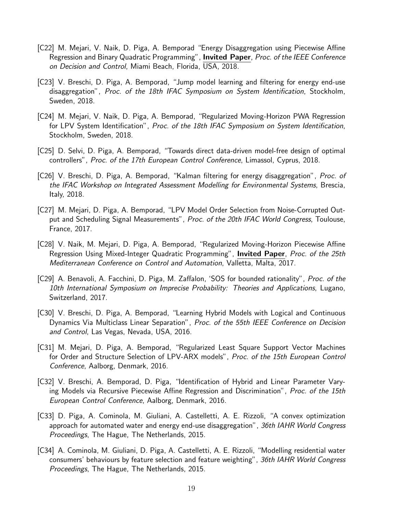- [C22] M. Mejari, V. Naik, D. Piga, A. Bemporad "Energy Disaggregation using Piecewise Affine Regression and Binary Quadratic Programming", **Invited Paper**, *Proc. of the IEEE Conference* on Decision and Control, Miami Beach, Florida, USA, 2018.
- [C23] V. Breschi, D. Piga, A. Bemporad, "Jump model learning and filtering for energy end-use disaggregation", Proc. of the 18th IFAC Symposium on System Identification, Stockholm, Sweden, 2018.
- [C24] M. Mejari, V. Naik, D. Piga, A. Bemporad, "Regularized Moving-Horizon PWA Regression for LPV System Identification", Proc. of the 18th IFAC Symposium on System Identification, Stockholm, Sweden, 2018.
- [C25] D. Selvi, D. Piga, A. Bemporad, "Towards direct data-driven model-free design of optimal controllers", Proc. of the 17th European Control Conference, Limassol, Cyprus, 2018.
- [C26] V. Breschi, D. Piga, A. Bemporad, "Kalman filtering for energy disaggregation", Proc. of the IFAC Workshop on Integrated Assessment Modelling for Environmental Systems, Brescia, Italy, 2018.
- [C27] M. Mejari, D. Piga, A. Bemporad, "LPV Model Order Selection from Noise-Corrupted Output and Scheduling Signal Measurements", Proc. of the 20th IFAC World Congress, Toulouse, France, 2017.
- [C28] V. Naik, M. Mejari, D. Piga, A. Bemporad, "Regularized Moving-Horizon Piecewise Affine Regression Using Mixed-Integer Quadratic Programming", Invited Paper, Proc. of the 25th Mediterranean Conference on Control and Automation, Valletta, Malta, 2017.
- [C29] A. Benavoli, A. Facchini, D. Piga, M. Zaffalon, 'SOS for bounded rationality", Proc. of the 10th International Symposium on Imprecise Probability: Theories and Applications, Lugano, Switzerland, 2017.
- [C30] V. Breschi, D. Piga, A. Bemporad, "Learning Hybrid Models with Logical and Continuous Dynamics Via Multiclass Linear Separation", Proc. of the 55th IEEE Conference on Decision and Control, Las Vegas, Nevada, USA, 2016.
- [C31] M. Mejari, D. Piga, A. Bemporad, "Regularized Least Square Support Vector Machines for Order and Structure Selection of LPV-ARX models", Proc. of the 15th European Control Conference, Aalborg, Denmark, 2016.
- [C32] V. Breschi, A. Bemporad, D. Piga, "Identification of Hybrid and Linear Parameter Varying Models via Recursive Piecewise Affine Regression and Discrimination", *Proc. of the 15th* European Control Conference, Aalborg, Denmark, 2016.
- [C33] D. Piga, A. Cominola, M. Giuliani, A. Castelletti, A. E. Rizzoli, "A convex optimization approach for automated water and energy end-use disaggregation", 36th IAHR World Congress Proceedings, The Hague, The Netherlands, 2015.
- [C34] A. Cominola, M. Giuliani, D. Piga, A. Castelletti, A. E. Rizzoli, "Modelling residential water consumers' behaviours by feature selection and feature weighting", 36th IAHR World Congress Proceedings, The Hague, The Netherlands, 2015.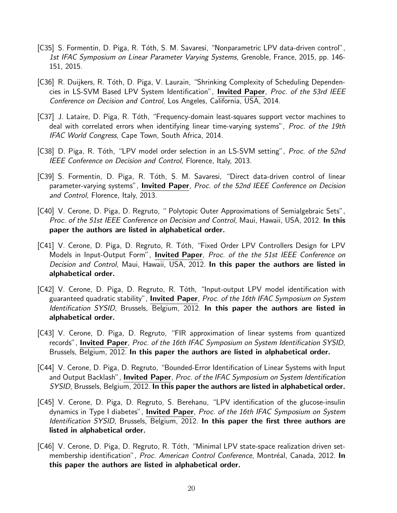- [C35] S. Formentin, D. Piga, R. Tóth, S. M. Savaresi, "Nonparametric LPV data-driven control", 1st IFAC Symposium on Linear Parameter Varying Systems, Grenoble, France, 2015, pp. 146- 151, 2015.
- [C36] R. Duijkers, R. Tóth, D. Piga, V. Laurain, "Shrinking Complexity of Scheduling Dependencies in LS-SVM Based LPV System Identification", Invited Paper, Proc. of the 53rd IEEE Conference on Decision and Control, Los Angeles, California, USA, 2014.
- [C37] J. Lataire, D. Piga, R. Tóth, "Frequency-domain least-squares support vector machines to deal with correlated errors when identifying linear time-varying systems", *Proc. of the 19th* IFAC World Congress, Cape Town, South Africa, 2014.
- [C38] D. Piga, R. Tóth, "LPV model order selection in an LS-SVM setting", *Proc. of the 52nd* IEEE Conference on Decision and Control, Florence, Italy, 2013.
- [C39] S. Formentin, D. Piga, R. Tóth, S. M. Savaresi, "Direct data-driven control of linear parameter-varying systems", **Invited Paper**, *Proc. of the 52nd IEEE Conference on Decision* and Control, Florence, Italy, 2013.
- [C40] V. Cerone, D. Piga, D. Regruto, " Polytopic Outer Approximations of Semialgebraic Sets", Proc. of the 51st IEEE Conference on Decision and Control, Maui, Hawaii, USA, 2012. In this paper the authors are listed in alphabetical order.
- [C41] V. Cerone, D. Piga, D. Regruto, R. Tóth, "Fixed Order LPV Controllers Design for LPV Models in Input-Output Form", **Invited Paper**, *Proc. of the the 51st IEEE Conference on* Decision and Control, Maui, Hawaii, USA, 2012. In this paper the authors are listed in alphabetical order.
- [C42] V. Cerone, D. Piga, D. Regruto, R. Tóth, "Input-output LPV model identification with guaranteed quadratic stability", Invited Paper, Proc. of the 16th IFAC Symposium on System Identification SYSID, Brussels, Belgium, 2012. In this paper the authors are listed in alphabetical order.
- [C43] V. Cerone, D. Piga, D. Regruto, "FIR approximation of linear systems from quantized records", Invited Paper, Proc. of the 16th IFAC Symposium on System Identification SYSID, Brussels, Belgium, 2012. In this paper the authors are listed in alphabetical order.
- [C44] V. Cerone, D. Piga, D. Regruto, "Bounded-Error Identification of Linear Systems with Input and Output Backlash", Invited Paper, Proc. of the IFAC Symposium on System Identification SYSID, Brussels, Belgium, 2012. In this paper the authors are listed in alphabetical order.
- [C45] V. Cerone, D. Piga, D. Regruto, S. Berehanu, "LPV identification of the glucose-insulin dynamics in Type I diabetes", **Invited Paper**, *Proc. of the 16th IFAC Symposium on System* Identification SYSID, Brussels, Belgium, 2012. In this paper the first three authors are listed in alphabetical order.
- [C46] V. Cerone, D. Piga, D. Regruto, R. Tóth, "Minimal LPV state-space realization driven setmembership identification", Proc. American Control Conference, Montréal, Canada, 2012. In this paper the authors are listed in alphabetical order.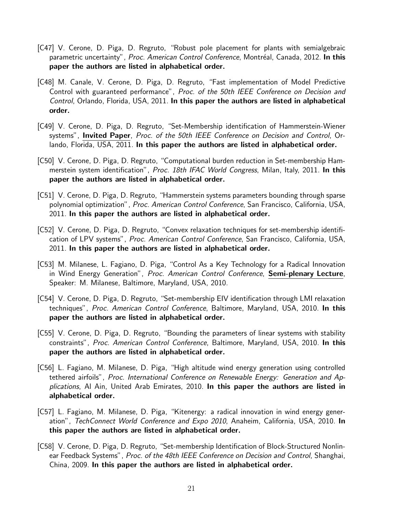- [C47] V. Cerone, D. Piga, D. Regruto, "Robust pole placement for plants with semialgebraic parametric uncertainty", Proc. American Control Conference, Montréal, Canada, 2012. In this paper the authors are listed in alphabetical order.
- [C48] M. Canale, V. Cerone, D. Piga, D. Regruto, "Fast implementation of Model Predictive Control with guaranteed performance", Proc. of the 50th IEEE Conference on Decision and Control, Orlando, Florida, USA, 2011. In this paper the authors are listed in alphabetical order.
- [C49] V. Cerone, D. Piga, D. Regruto, "Set-Membership identification of Hammerstein-Wiener systems", **Invited Paper**, Proc. of the 50th IEEE Conference on Decision and Control, Orlando, Florida, USA, 2011. In this paper the authors are listed in alphabetical order.
- [C50] V. Cerone, D. Piga, D. Regruto, "Computational burden reduction in Set-membership Hammerstein system identification", Proc. 18th IFAC World Congress, Milan, Italy, 2011. In this paper the authors are listed in alphabetical order.
- [C51] V. Cerone, D. Piga, D. Regruto, "Hammerstein systems parameters bounding through sparse polynomial optimization", Proc. American Control Conference, San Francisco, California, USA, 2011. In this paper the authors are listed in alphabetical order.
- [C52] V. Cerone, D. Piga, D. Regruto, "Convex relaxation techniques for set-membership identification of LPV systems", Proc. American Control Conference, San Francisco, California, USA, 2011. In this paper the authors are listed in alphabetical order.
- [C53] M. Milanese, L. Fagiano, D. Piga, "Control As a Key Technology for a Radical Innovation in Wind Energy Generation", Proc. American Control Conference, Semi-plenary Lecture, Speaker: M. Milanese, Baltimore, Maryland, USA, 2010.
- [C54] V. Cerone, D. Piga, D. Regruto, "Set-membership EIV identification through LMI relaxation techniques", Proc. American Control Conference, Baltimore, Maryland, USA, 2010. In this paper the authors are listed in alphabetical order.
- [C55] V. Cerone, D. Piga, D. Regruto, "Bounding the parameters of linear systems with stability constraints", Proc. American Control Conference, Baltimore, Maryland, USA, 2010. In this paper the authors are listed in alphabetical order.
- [C56] L. Fagiano, M. Milanese, D. Piga, "High altitude wind energy generation using controlled tethered airfoils", Proc. International Conference on Renewable Energy: Generation and Applications, Al Ain, United Arab Emirates, 2010. In this paper the authors are listed in alphabetical order.
- [C57] L. Fagiano, M. Milanese, D. Piga, "Kitenergy: a radical innovation in wind energy generation", TechConnect World Conference and Expo 2010, Anaheim, California, USA, 2010. In this paper the authors are listed in alphabetical order.
- [C58] V. Cerone, D. Piga, D. Regruto, "Set-membership Identification of Block-Structured Nonlinear Feedback Systems", Proc. of the 48th IEEE Conference on Decision and Control, Shanghai, China, 2009. In this paper the authors are listed in alphabetical order.